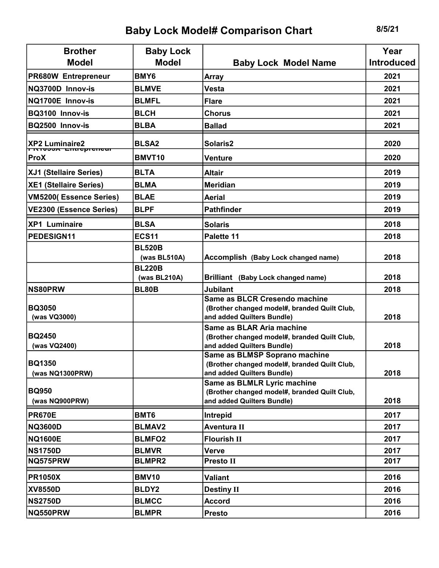## Baby Lock Model# Comparison Chart 8/5/21

| <b>Brother</b>                                   | <b>Baby Lock</b>              |                                                                                                             | Year              |
|--------------------------------------------------|-------------------------------|-------------------------------------------------------------------------------------------------------------|-------------------|
| <b>Model</b>                                     | <b>Model</b>                  | <b>Baby Lock Model Name</b>                                                                                 | <b>Introduced</b> |
| <b>PR680W Entrepreneur</b>                       | BMY6                          | <b>Array</b>                                                                                                | 2021              |
| NQ3700D Innov-is                                 | <b>BLMVE</b>                  | <b>Vesta</b>                                                                                                | 2021              |
| NQ1700E Innov-is                                 | <b>BLMFL</b>                  | <b>Flare</b>                                                                                                | 2021              |
| BQ3100 Innov-is                                  | <b>BLCH</b>                   | <b>Chorus</b>                                                                                               | 2021              |
| BQ2500 Innov-is                                  | <b>BLBA</b>                   | <b>Ballad</b>                                                                                               | 2021              |
| XP2 Luminaire2                                   | <b>BLSA2</b>                  | Solaris2                                                                                                    | 2020              |
| <del>r itivəən Entreprenear</del><br><b>ProX</b> | BMVT10                        | <b>Venture</b>                                                                                              | 2020              |
| <b>XJ1 (Stellaire Series)</b>                    | <b>BLTA</b>                   | <b>Altair</b>                                                                                               | 2019              |
| <b>XE1 (Stellaire Series)</b>                    | <b>BLMA</b>                   | <b>Meridian</b>                                                                                             | 2019              |
| VM5200(Essence Series)                           | <b>BLAE</b>                   | <b>Aerial</b>                                                                                               | 2019              |
| VE2300 (Essence Series)                          | <b>BLPF</b>                   | <b>Pathfinder</b>                                                                                           | 2019              |
| <b>XP1 Luminaire</b>                             | <b>BLSA</b>                   | <b>Solaris</b>                                                                                              | 2018              |
| <b>PEDESIGN11</b>                                | <b>ECS11</b>                  | Palette 11                                                                                                  | 2018              |
|                                                  | <b>BL520B</b><br>(was BL510A) | Accomplish (Baby Lock changed name)                                                                         | 2018              |
|                                                  | <b>BL220B</b><br>(was BL210A) | Brilliant (Baby Lock changed name)                                                                          | 2018              |
| <b>NS80PRW</b>                                   | <b>BL80B</b>                  | <b>Jubilant</b>                                                                                             | 2018              |
| <b>BQ3050</b><br>(was VQ3000)                    |                               | Same as BLCR Cresendo machine<br>(Brother changed model#, branded Quilt Club,<br>and added Quilters Bundle) | 2018              |
| <b>BQ2450</b><br>(was VQ2400)                    |                               | Same as BLAR Aria machine<br>(Brother changed model#, branded Quilt Club,<br>and added Quilters Bundle)     | 2018              |
| <b>BQ1350</b><br>(was NQ1300PRW)                 |                               | Same as BLMSP Soprano machine<br>(Brother changed model#, branded Quilt Club,<br>and added Quilters Bundle) | 2018              |
| <b>BQ950</b><br>(was NQ900PRW)                   |                               | Same as BLMLR Lyric machine<br>(Brother changed model#, branded Quilt Club,<br>and added Quilters Bundle)   | 2018              |
| <b>PR670E</b>                                    | BMT6                          | Intrepid                                                                                                    | 2017              |
| <b>NQ3600D</b>                                   | <b>BLMAV2</b>                 | <b>Aventura II</b>                                                                                          | 2017              |
| <b>NQ1600E</b>                                   | <b>BLMFO2</b>                 | <b>Flourish II</b>                                                                                          | 2017              |
| <b>NS1750D</b>                                   | <b>BLMVR</b>                  | <b>Verve</b>                                                                                                | 2017              |
| NQ575PRW                                         | <b>BLMPR2</b>                 | <b>Presto II</b>                                                                                            | 2017              |
| <b>PR1050X</b>                                   | <b>BMV10</b>                  | <b>Valiant</b>                                                                                              | 2016              |
| <b>XV8550D</b>                                   | <b>BLDY2</b>                  | <b>Destiny II</b>                                                                                           | 2016              |
| <b>NS2750D</b>                                   | <b>BLMCC</b>                  | <b>Accord</b>                                                                                               | 2016              |
| NQ550PRW                                         | <b>BLMPR</b>                  | <b>Presto</b>                                                                                               | 2016              |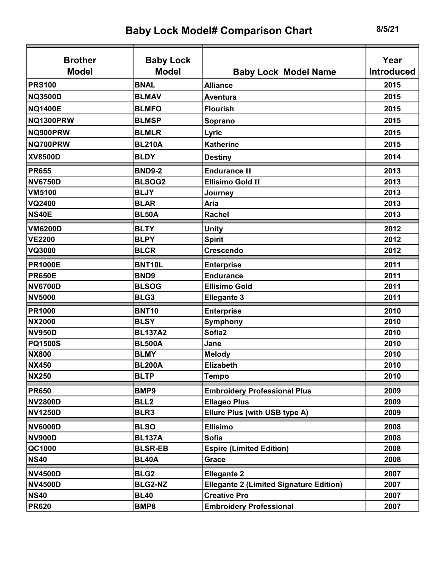| <b>Brother</b>   | <b>Baby Lock</b> |                                                | Year              |
|------------------|------------------|------------------------------------------------|-------------------|
| <b>Model</b>     | <b>Model</b>     | <b>Baby Lock Model Name</b>                    | <b>Introduced</b> |
| <b>PRS100</b>    | <b>BNAL</b>      | <b>Alliance</b>                                | 2015              |
| <b>NQ3500D</b>   | <b>BLMAV</b>     | <b>Aventura</b>                                | 2015              |
| <b>NQ1400E</b>   | <b>BLMFO</b>     | <b>Flourish</b>                                | 2015              |
| <b>NQ1300PRW</b> | <b>BLMSP</b>     | Soprano                                        | 2015              |
| NQ900PRW         | <b>BLMLR</b>     | Lyric                                          | 2015              |
| NQ700PRW         | <b>BL210A</b>    | <b>Katherine</b>                               | 2015              |
| <b>XV8500D</b>   | <b>BLDY</b>      | <b>Destiny</b>                                 | 2014              |
| <b>PR655</b>     | <b>BND9-2</b>    | <b>Endurance II</b>                            | 2013              |
| <b>NV6750D</b>   | <b>BLSOG2</b>    | <b>Ellisimo Gold II</b>                        | 2013              |
| <b>VM5100</b>    | <b>BLJY</b>      | Journey                                        | 2013              |
| <b>VQ2400</b>    | <b>BLAR</b>      | Aria                                           | 2013              |
| <b>NS40E</b>     | <b>BL50A</b>     | Rachel                                         | 2013              |
| <b>VM6200D</b>   | <b>BLTY</b>      | <b>Unity</b>                                   | 2012              |
| <b>VE2200</b>    | <b>BLPY</b>      | <b>Spirit</b>                                  | 2012              |
| <b>VQ3000</b>    | <b>BLCR</b>      | <b>Crescendo</b>                               | 2012              |
| <b>PR1000E</b>   | BNT10L           | <b>Enterprise</b>                              | 2011              |
| <b>PR650E</b>    | BND9             | <b>Endurance</b>                               | 2011              |
| <b>NV6700D</b>   | <b>BLSOG</b>     | <b>Ellisimo Gold</b>                           | 2011              |
| <b>NV5000</b>    | BLG3             | <b>Ellegante 3</b>                             | 2011              |
| <b>PR1000</b>    | <b>BNT10</b>     | <b>Enterprise</b>                              | 2010              |
| <b>NX2000</b>    | <b>BLSY</b>      | Symphony                                       | 2010              |
| <b>NV950D</b>    | <b>BL137A2</b>   | Sofia2                                         | 2010              |
| <b>PQ1500S</b>   | <b>BL500A</b>    | Jane                                           | 2010              |
| <b>NX800</b>     | <b>BLMY</b>      | <b>Melody</b>                                  | 2010              |
| <b>NX450</b>     | <b>BL200A</b>    | <b>Elizabeth</b>                               | 2010              |
| <b>NX250</b>     | <b>BLTP</b>      | <b>Tempo</b>                                   | 2010              |
| <b>PR650</b>     | BMP9             | <b>Embroidery Professional Plus</b>            | 2009              |
| <b>NV2800D</b>   | BLL <sub>2</sub> | <b>Ellageo Plus</b>                            | 2009              |
| <b>NV1250D</b>   | BLR3             | Ellure Plus (with USB type A)                  | 2009              |
| <b>NV6000D</b>   | <b>BLSO</b>      | <b>Ellisimo</b>                                | 2008              |
| <b>NV900D</b>    | <b>BL137A</b>    | <b>Sofia</b>                                   | 2008              |
| QC1000           | <b>BLSR-EB</b>   | <b>Espire (Limited Edition)</b>                | 2008              |
| <b>NS40</b>      | <b>BL40A</b>     | Grace                                          | 2008              |
| <b>NV4500D</b>   | BLG <sub>2</sub> | <b>Ellegante 2</b>                             | 2007              |
| <b>NV4500D</b>   | <b>BLG2-NZ</b>   | <b>Ellegante 2 (Limited Signature Edition)</b> | 2007              |
| <b>NS40</b>      | <b>BL40</b>      | <b>Creative Pro</b>                            | 2007              |
| <b>PR620</b>     | BMP8             | <b>Embroidery Professional</b>                 | 2007              |